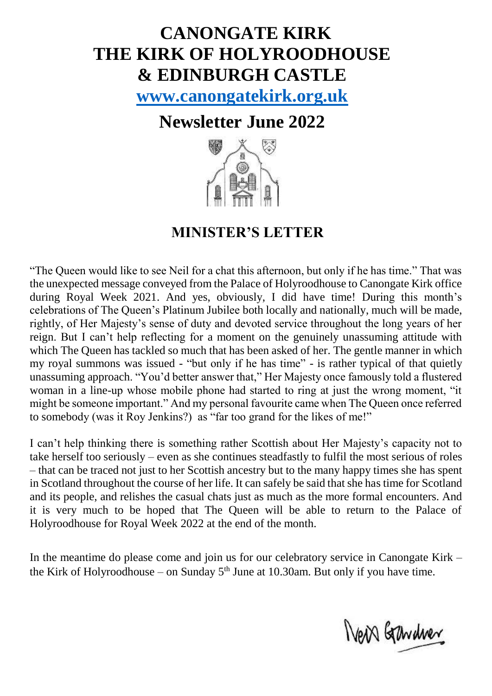# **CANONGATE KIRK THE KIRK OF HOLYROODHOUSE & EDINBURGH CASTLE**

**[www.canongatekirk.org.uk](http://www.canongatekirk.org.uk/)**

## **Newsletter June 2022**



### **MINISTER'S LETTER**

"The Queen would like to see Neil for a chat this afternoon, but only if he has time." That was the unexpected message conveyed from the Palace of Holyroodhouse to Canongate Kirk office during Royal Week 2021. And yes, obviously, I did have time! During this month's celebrations of The Queen's Platinum Jubilee both locally and nationally, much will be made, rightly, of Her Majesty's sense of duty and devoted service throughout the long years of her reign. But I can't help reflecting for a moment on the genuinely unassuming attitude with which The Queen has tackled so much that has been asked of her. The gentle manner in which my royal summons was issued - "but only if he has time" - is rather typical of that quietly unassuming approach. "You'd better answer that," Her Majesty once famously told a flustered woman in a line-up whose mobile phone had started to ring at just the wrong moment, "it might be someone important." And my personal favourite came when The Queen once referred to somebody (was it Roy Jenkins?) as "far too grand for the likes of me!"

I can't help thinking there is something rather Scottish about Her Majesty's capacity not to take herself too seriously – even as she continues steadfastly to fulfil the most serious of roles – that can be traced not just to her Scottish ancestry but to the many happy times she has spent in Scotland throughout the course of her life. It can safely be said that she has time for Scotland and its people, and relishes the casual chats just as much as the more formal encounters. And it is very much to be hoped that The Queen will be able to return to the Palace of Holyroodhouse for Royal Week 2022 at the end of the month.

In the meantime do please come and join us for our celebratory service in Canongate Kirk – the Kirk of Holyroodhouse – on Sunday  $5<sup>th</sup>$  June at 10.30am. But only if you have time.

New Gardner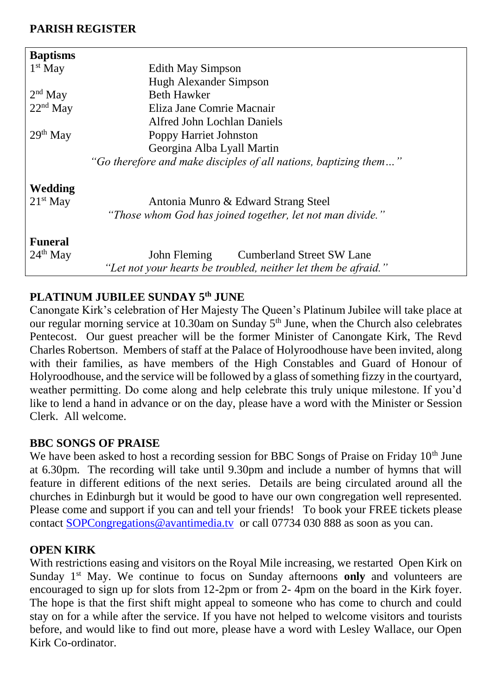#### **PARISH REGISTER**

| <b>Baptisms</b> |                                                                  |  |
|-----------------|------------------------------------------------------------------|--|
| $1st$ May       | Edith May Simpson                                                |  |
|                 | Hugh Alexander Simpson                                           |  |
| $2nd$ May       | <b>Beth Hawker</b>                                               |  |
| $22nd$ May      | Eliza Jane Comrie Macnair                                        |  |
|                 | Alfred John Lochlan Daniels                                      |  |
| $29th$ May      | Poppy Harriet Johnston                                           |  |
|                 | Georgina Alba Lyall Martin                                       |  |
|                 | "Go therefore and make disciples of all nations, baptizing them" |  |
| Wedding         |                                                                  |  |
| $21st$ May      | Antonia Munro & Edward Strang Steel                              |  |
|                 | "Those whom God has joined together, let not man divide."        |  |
| <b>Funeral</b>  |                                                                  |  |
| $24th$ May      | John Fleming Cumberland Street SW Lane                           |  |
|                 | "Let not your hearts be troubled, neither let them be afraid."   |  |

#### **PLATINUM JUBILEE SUNDAY 5 th JUNE**

Canongate Kirk's celebration of Her Majesty The Queen's Platinum Jubilee will take place at our regular morning service at 10.30am on Sunday 5<sup>th</sup> June, when the Church also celebrates Pentecost. Our guest preacher will be the former Minister of Canongate Kirk, The Revd Charles Robertson. Members of staff at the Palace of Holyroodhouse have been invited, along with their families, as have members of the High Constables and Guard of Honour of Holyroodhouse, and the service will be followed by a glass of something fizzy in the courtyard, weather permitting. Do come along and help celebrate this truly unique milestone. If you'd like to lend a hand in advance or on the day, please have a word with the Minister or Session Clerk. All welcome.

#### **BBC SONGS OF PRAISE**

We have been asked to host a recording session for BBC Songs of Praise on Friday 10<sup>th</sup> June at 6.30pm. The recording will take until 9.30pm and include a number of hymns that will feature in different editions of the next series. Details are being circulated around all the churches in Edinburgh but it would be good to have our own congregation well represented. Please come and support if you can and tell your friends! To book your FREE tickets please contact [SOPCongregations@avantimedia.tv](mailto:SOPCongregations@avantimedia.tv) or call 07734 030 888 as soon as you can.

#### **OPEN KIRK**

With restrictions easing and visitors on the Royal Mile increasing, we restarted Open Kirk on Sunday 1<sup>st</sup> May. We continue to focus on Sunday afternoons only and volunteers are encouraged to sign up for slots from 12-2pm or from 2- 4pm on the board in the Kirk foyer. The hope is that the first shift might appeal to someone who has come to church and could stay on for a while after the service. If you have not helped to welcome visitors and tourists before, and would like to find out more, please have a word with Lesley Wallace, our Open Kirk Co-ordinator.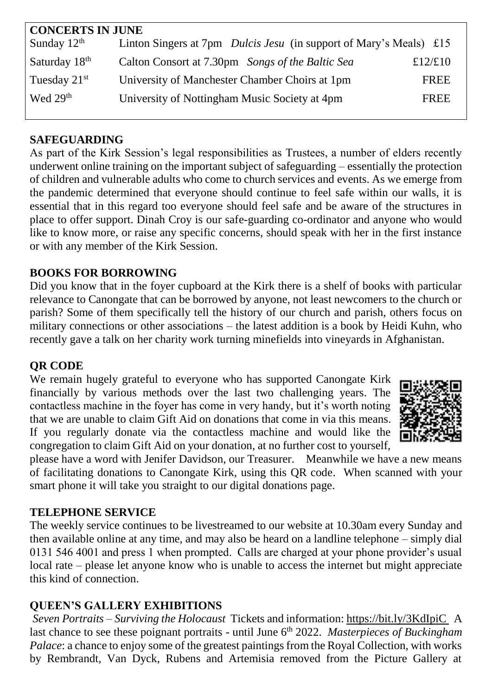| <b>CONCERTS IN JUNE</b>   |                                                                           |             |  |
|---------------------------|---------------------------------------------------------------------------|-------------|--|
| Sunday $12th$             | Linton Singers at 7pm <i>Dulcis Jesu</i> (in support of Mary's Meals) £15 |             |  |
| Saturday 18 <sup>th</sup> | Calton Consort at 7.30pm Songs of the Baltic Sea                          | £12/£10     |  |
| Tuesday $21st$            | University of Manchester Chamber Choirs at 1pm                            | <b>FREE</b> |  |
| Wed 29 <sup>th</sup>      | University of Nottingham Music Society at 4pm                             | <b>FREE</b> |  |
|                           |                                                                           |             |  |

#### **SAFEGUARDING**

As part of the Kirk Session's legal responsibilities as Trustees, a number of elders recently underwent online training on the important subject of safeguarding – essentially the protection of children and vulnerable adults who come to church services and events. As we emerge from the pandemic determined that everyone should continue to feel safe within our walls, it is essential that in this regard too everyone should feel safe and be aware of the structures in place to offer support. Dinah Croy is our safe-guarding co-ordinator and anyone who would like to know more, or raise any specific concerns, should speak with her in the first instance or with any member of the Kirk Session.

#### **BOOKS FOR BORROWING**

Did you know that in the foyer cupboard at the Kirk there is a shelf of books with particular relevance to Canongate that can be borrowed by anyone, not least newcomers to the church or parish? Some of them specifically tell the history of our church and parish, others focus on military connections or other associations – the latest addition is a book by Heidi Kuhn, who recently gave a talk on her charity work turning minefields into vineyards in Afghanistan.

#### **QR CODE**

We remain hugely grateful to everyone who has supported Canongate Kirk financially by various methods over the last two challenging years. The contactless machine in the foyer has come in very handy, but it's worth noting that we are unable to claim Gift Aid on donations that come in via this means. If you regularly donate via the contactless machine and would like the congregation to claim Gift Aid on your donation, at no further cost to yourself,



please have a word with Jenifer Davidson, our Treasurer. Meanwhile we have a new means of facilitating donations to Canongate Kirk, using this QR code. When scanned with your smart phone it will take you straight to our digital donations page.

#### **TELEPHONE SERVICE**

The weekly service continues to be livestreamed to our website at 10.30am every Sunday and then available online at any time, and may also be heard on a landline telephone – simply dial 0131 546 4001 and press 1 when prompted. Calls are charged at your phone provider's usual local rate – please let anyone know who is unable to access the internet but might appreciate this kind of connection.

#### **QUEEN'S GALLERY EXHIBITIONS**

*Seven Portraits – Surviving the Holocaust* Tickets and information: <https://bit.ly/3KdIpiC> A last chance to see these poignant portraits - until June 6<sup>th</sup> 2022. *Masterpieces of Buckingham Palace*: a chance to enjoy some of the greatest paintings from the Royal Collection, with works by Rembrandt, Van Dyck, Rubens and Artemisia removed from the Picture Gallery at